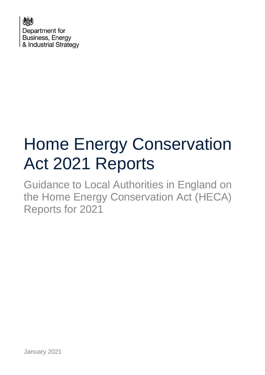

# Home Energy Conservation Act 2021 Reports

Guidance to Local Authorities in England on the Home Energy Conservation Act (HECA) Reports for 2021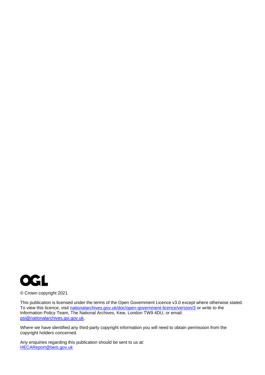

© Crown copyright 2021

This publication is licensed under the terms of the Open Government Licence v3.0 except where otherwise stated. To view this licence, visit [nationalarchives.gov.uk/doc/open-government-licence/version/3](http://nationalarchives.gov.uk/doc/open-government-licence/version/3/) or write to the Information Policy Team, The National Archives, Kew, London TW9 4DU, or email: [psi@nationalarchives.gsi.gov.uk.](mailto:psi@nationalarchives.gsi.gov.uk)

Where we have identified any third-party copyright information you will need to obtain permission from the copyright holders concerned.

Any enquiries regarding this publication should be sent to us at: [HECAReport@beis.gov.uk](mailto:HECAReport@beis.gov.uk)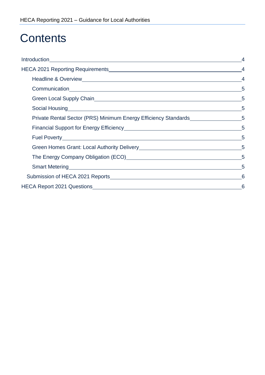### **Contents**

| Communication 5                                                                    |  |
|------------------------------------------------------------------------------------|--|
|                                                                                    |  |
| Social Housing 5                                                                   |  |
| Private Rental Sector (PRS) Minimum Energy Efficiency Standards__________________5 |  |
| Financial Support for Energy Efficiency Manual Accords 25 5                        |  |
|                                                                                    |  |
|                                                                                    |  |
| The Energy Company Obligation (ECO) Manual Company 5                               |  |
| Smart Metering 5                                                                   |  |
|                                                                                    |  |
|                                                                                    |  |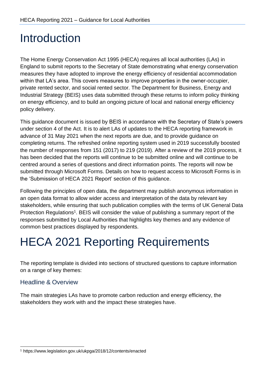### <span id="page-3-0"></span>Introduction

The Home Energy Conservation Act 1995 (HECA) requires all local authorities (LAs) in England to submit reports to the Secretary of State demonstrating what energy conservation measures they have adopted to improve the energy efficiency of residential accommodation within that LA's area. This covers measures to improve properties in the owner-occupier, private rented sector, and social rented sector. The Department for Business, Energy and Industrial Strategy (BEIS) uses data submitted through these returns to inform policy thinking on energy efficiency, and to build an ongoing picture of local and national energy efficiency policy delivery.

This guidance document is issued by BEIS in accordance with the Secretary of State's powers under section 4 of the Act. It is to alert LAs of updates to the HECA reporting framework in advance of 31 May 2021 when the next reports are due, and to provide guidance on completing returns. The refreshed online reporting system used in 2019 successfully boosted the number of responses from 151 (2017) to 219 (2019). After a review of the 2019 process, it has been decided that the reports will continue to be submitted online and will continue to be centred around a series of questions and direct information points. The reports will now be submitted through Microsoft Forms. Details on how to request access to Microsoft Forms is in the 'Submission of HECA 2021 Report' section of this guidance.

Following the principles of open data, the department may publish anonymous information in an [open data f](https://data.gov.uk/about)ormat to allow wider access and interpretation of the data by relevant key stakeholders, while ensuring that such publication complies with the terms of UK General Data Protection Regulations<sup>1</sup>. BEIS will consider the value of publishing a summary report of the responses submitted by Local Authorities that highlights key themes and any evidence of common best practices displayed by respondents.

### <span id="page-3-1"></span>HECA 2021 Reporting Requirements

The reporting template is divided into sections of structured questions to capture information on a range of key themes:

#### <span id="page-3-2"></span>Headline & Overview

The main strategies LAs have to promote carbon reduction and energy efficiency, the stakeholders they work with and the impact these strategies have.

<sup>1</sup> http[s://ww](http://www.legislation.gov.uk/ukpga/2018/12/contents/enacted)w[.legislation.gov.uk/ukpga/2018/12/contents/enacted](http://www.legislation.gov.uk/ukpga/2018/12/contents/enacted)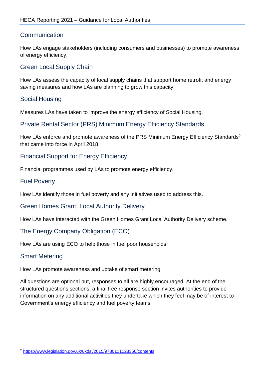#### <span id="page-4-0"></span>**Communication**

How LAs engage stakeholders (including consumers and businesses) to promote awareness of energy efficiency.

#### <span id="page-4-1"></span>Green Local Supply Chain

How LAs assess the capacity of local supply chains that support home retrofit and energy saving measures and how LAs are planning to grow this capacity.

#### <span id="page-4-2"></span>Social Housing

Measures LAs have taken to improve the energy efficiency of Social Housing.

#### <span id="page-4-3"></span>Private Rental Sector (PRS) Minimum Energy Efficiency Standards

How LAs enforce and promote awareness of the PRS Minimum Energy Efficiency Standards<sup>2</sup> that came into force in April 2018.

#### <span id="page-4-4"></span>Financial Support for Energy Efficiency

Financial programmes used by LAs to promote energy efficiency.

#### <span id="page-4-5"></span>Fuel Poverty

How LAs identify those in fuel poverty and any initiatives used to address this.

<span id="page-4-6"></span>Green Homes Grant: Local Authority Delivery

How LAs have interacted with the Green Homes Grant Local Authority Delivery scheme.

#### <span id="page-4-7"></span>The Energy Company Obligation (ECO)

How LAs are using ECO to help those in fuel poor households.

#### <span id="page-4-8"></span>Smart Metering

How LAs promote awareness and uptake of smart metering

All questions are optional but, responses to all are highly encouraged. At the end of the structured questions sections, a final free response section invites authorities to provide information on any additional activities they undertake which they feel may be of interest to Government's energy efficiency and fuel poverty teams.

<sup>2</sup> <https://www.legislation.gov.uk/ukdsi/2015/9780111128350/contents>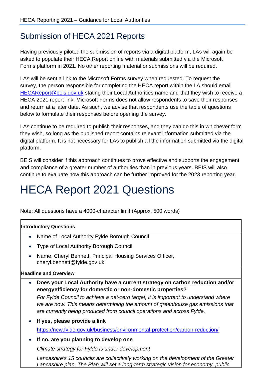### <span id="page-5-0"></span>Submission of HECA 2021 Reports

Having previously piloted the submission of reports via a digital platform, LAs will again be asked to populate their HECA Report online with materials submitted via the Microsoft Forms platform in 2021. No other reporting material or submissions will be required.

LAs will be sent a link to the Microsoft Forms survey when requested. To request the survey, the person responsible for completing the HECA report within the LA should email [HECAReport@beis.gov.uk](mailto:HECAReport@beis.gov.uk) stating their Local Authorities name and that they wish to receive a HECA 2021 report link. Microsoft Forms does not allow respondents to save their responses and return at a later date. As such, we advise that respondents use the table of questions below to formulate their responses before opening the survey.

LAs continue to be required to publish their responses, and they can do this in whichever form they wish, so long as the published report contains relevant information submitted via the digital platform. It is not necessary for LAs to publish all the information submitted via the digital platform.

BEIS will consider if this approach continues to prove effective and supports the engagement and compliance of a greater number of authorities than in previous years. BEIS will also continue to evaluate how this approach can be further improved for the 2023 reporting year.

## <span id="page-5-1"></span>HECA Report 2021 Questions

Note: All questions have a 4000-character limit (Approx. 500 words)

#### **Introductory Questions**

- Name of Local Authority Fylde Borough Council
- Type of Local Authority Borough Council
- Name, Cheryl Bennett, Principal Housing Services Officer, cheryl.bennett@fylde.gov.uk

#### **Headline and Overview**

• **Does your Local Authority have a current strategy on carbon reduction and/or energyefficiency for domestic or non-domestic properties?**

*For Fylde Council to achieve a net-zero target, it is important to understand where we are now. This means determining the amount of greenhouse gas emissions that are currently being produced from council operations and across Fylde.*

- **If yes, please provide a link** <https://new.fylde.gov.uk/business/environmental-protection/carbon-reduction/>
- **If no, are you planning to develop one**

*Climate strategy for Fylde is under development*

*Lancashire's 15 councils are collectively working on the development of the Greater Lancashire plan. The Plan will set a long-term strategic vision for economy, public*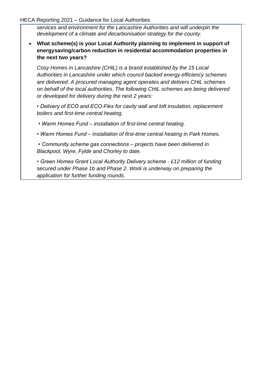*services and environment for the Lancashire Authorities and will underpin the development of a climate and decarbonisation strategy for the county.*

• **What scheme(s) is your Local Authority planning to implement in support of energysaving/carbon reduction in residential accommodation properties in the next two years?**

*Cosy Homes in Lancashire (CHiL) is a brand established by the 15 Local Authorities in Lancashire under which council backed energy efficiency schemes are delivered. A procured managing agent operates and delivers CHiL schemes on behalf of the local authorities. The following CHiL schemes are being delivered or developed for delivery during the next 2 years:*

*• Delivery of ECO and ECO-Flex for cavity wall and loft insulation, replacement boilers and first-time central heating.*

- *Warm Homes Fund – installation of first-time central heating.*
- *Warm Homes Fund – installation of first-time central heating in Park Homes.*
- *Community scheme gas connections – projects have been delivered in Blackpool, Wyre, Fylde and Chorley to date.*

*• Green Homes Grant Local Authority Delivery scheme - £12 million of funding secured under Phase 1b and Phase 2. Work is underway on preparing the application for further funding rounds.*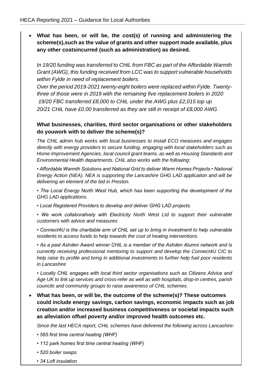• **What has been, or will be, the cost(s) of running and administering the scheme(s),such as the value of grants and other support made available, plus any other costsincurred (such as administration) as desired.**

*In 19/20 funding was transferred to CHiL from FBC as part of the Affordable Warmth Grant (AWG), this funding received from LCC was to support vulnerable households within Fylde in need of replacement boilers.*

*Over the period 2019-2021 twenty-eight boilers were replaced within Fylde. Twentythree of those were in 2019 with the remaining five replacement boilers in 2020 19/20 FBC transferred £8,000 to CHiL under the AWG plus £2,015 top up* 

*20/21 CHiL have £0.00 transferred as they are still in receipt of £8,000 AWG*

#### **What businesses, charities, third sector organisations or other stakeholders do youwork with to deliver the scheme(s)?**

*The CHiL admin hub works with local businesses to install ECO measures and engages directly with energy providers to secure funding, engaging with local stakeholders such as Home Improvement Agencies, local council grant teams, as well as Housing Standards and Environmental Health departments. CHiL also works with the following:* 

*• Affordable Warmth Solutions and National Grid to deliver Warm Homes Projects • National Energy Action (NEA). NEA is supporting the Lancashire GHG LAD application and will be delivering an element of the bid in Preston.* 

*• The Local Energy North West Hub, which has been supporting the development of the GHG LAD applications.* 

*• Local Registered Providers to develop and deliver GHG LAD projects.* 

*• We work collaboratively with Electricity North West Ltd to support their vulnerable customers with advice and measures* 

*• Connect4U is the charitable arm of CHiL set up to bring in investment to help vulnerable residents to access funds to help towards the cost of heating interventions.* 

*• As a past Ashden Award winner CHiL is a member of the Ashden Alumni network and is currently receiving professional mentoring to support and develop the Connect4U CIC to help raise its profile and bring in additional investments to further help fuel poor residents in Lancashire* 

*• Locally CHiL engages with local third sector organisations such as Citizens Advice and Age UK to link up services and cross-refer as well as with hospitals, drop-in centres, parish councils and community groups to raise awareness of CHiL schemes.*

• **What has been, or will be, the outcome of the scheme(s)? These outcomes could include energy savings, carbon savings, economic impacts such as job creation and/or increased business competitiveness or societal impacts such as alleviation offuel poverty and/or improved health outcomes etc.**

*Since the last HECA report, CHiL schemes have delivered the following across Lancashire:* 

- *565 first time central heating (WHF)*
- *112 park homes first time central heating (WHF)*
- *520 boiler swaps*
- *34 Loft insulation*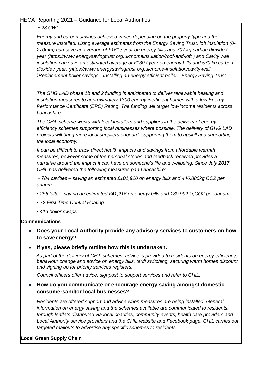*• 23 CWI* 

*Energy and carbon savings achieved varies depending on the property type and the measure installed. Using average estimates from the Energy Saving Trust, loft insulation (0- 270mm) can save an average of £161 / year on energy bills and 707 kg carbon dioxide / year (https://www.energysavingtrust.org.uk/homeinsulation/roof-and-loft ) and Cavity wall insulation can save an estimated average of £130 / year on energy bills and 570 kg carbon dioxide / year. (https://www.energysavingtrust.org.uk/home-insulation/cavity-wall )Replacement boiler savings - Installing an energy efficient boiler - Energy Saving Trust* 

*The GHG LAD phase 1b and 2 funding is anticipated to deliver renewable heating and insulation measures to approximately 1300 energy inefficient homes with a low Energy Performance Certificate (EPC) Rating. The funding will target low-income residents across Lancashire.* 

*The CHiL scheme works with local installers and suppliers in the delivery of energy efficiency schemes supporting local businesses where possible. The delivery of GHG LAD projects will bring more local suppliers onboard, supporting them to upskill and supporting the local economy.* 

*It can be difficult to track direct health impacts and savings from affordable warmth measures, however some of the personal stories and feedback received provides a narrative around the impact it can have on someone's life and wellbeing. Since July 2017 CHiL has delivered the following measures pan-Lancashire:*

*• 784 cavities – saving an estimated £101,920 on energy bills and 446,880kg CO2 per annum.* 

- *256 lofts – saving an estimated £41,216 on energy bills and 180,992 kgCO2 per annum.*
- *72 First Time Central Heating*
- *413 boiler swaps*

#### **Communications**

#### • **Does your Local Authority provide any advisory services to customers on how to save energy?**

• **If yes, please briefly outline how this is undertaken.**

*As part of the delivery of CHiL schemes, advice is provided to residents on energy efficiency, behaviour change and advice on energy bills, tariff switching, securing warm homes discount and signing up for priority services registers.*

*Council officers offer advice, signpost to support services and refer to CHiL.*

#### • **How do you communicate or encourage energy saving amongst domestic consumersand/or local businesses?**

*Residents are offered support and advice when measures are being installed. General information on energy saving and the schemes available are communicated to residents, through leaflets distributed via local charities, community events, health care providers and Local Authority service providers and the CHIL website and Facebook page. CHiL carries out targeted mailouts to advertise any specific schemes to residents.*

#### **Local Green Supply Chain**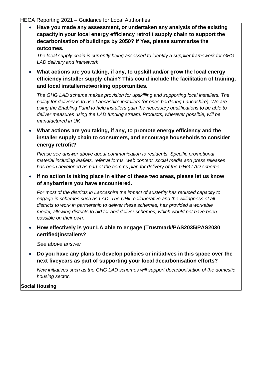• **Have you made any assessment, or undertaken any analysis of the existing capacityin your local energy efficiency retrofit supply chain to support the decarbonisation of buildings by 2050? If Yes, please summarise the outcomes.**

*The local supply chain is currently being assessed to identify a supplier framework for GHG LAD delivery and framework*

• **What actions are you taking, if any, to upskill and/or grow the local energy efficiency installer supply chain? This could include the facilitation of training, and local installernetworking opportunities.**

*The GHG LAD scheme makes provision for upskilling and supporting local installers. The policy for delivery is to use Lancashire installers (or ones bordering Lancashire). We are using the Enabling Fund to help installers gain the necessary qualifications to be able to deliver measures using the LAD funding stream. Products, wherever possible, will be manufactured in UK*

• **What actions are you taking, if any, to promote energy efficiency and the installer supply chain to consumers, and encourage households to consider energy retrofit?**

*Please see answer above about communication to residents. Specific promotional material including leaflets, referral forms, web content, social media and press releases has been developed as part of the comms plan for delivery of the GHG LAD scheme.*

• **If no action is taking place in either of these two areas, please let us know of anybarriers you have encountered.**

*For most of the districts in Lancashire the impact of austerity has reduced capacity to engage in schemes such as LAD. The CHiL collaborative and the willingness of all districts to work in partnership to deliver these schemes, has provided a workable model, allowing districts to bid for and deliver schemes, which would not have been possible on their own.*

• **How effectively is your LA able to engage (Trustmark/PAS2035/PAS2030 certified)installers?**

*See above answer*

• **Do you have any plans to develop policies or initiatives in this space over the next fiveyears as part of supporting your local decarbonisation efforts?**

*New initiatives such as the GHG LAD schemes will support decarbonisation of the domestic housing sector.*

**Social Housing**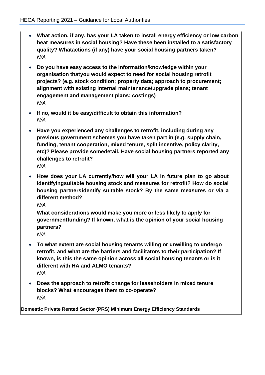- **What action, if any, has your LA taken to install energy efficiency or low carbon heat measures in social housing? Have these been installed to a satisfactory quality? Whatactions (if any) have your social housing partners taken?** *N/A*
- **Do you have easy access to the information/knowledge within your organisation thatyou would expect to need for social housing retrofit projects? (e.g. stock condition; property data; approach to procurement; alignment with existing internal maintenance/upgrade plans; tenant engagement and management plans; costings)** *N/A*
- **If no, would it be easy/difficult to obtain this information?** *N/A*
- **Have you experienced any challenges to retrofit, including during any previous government schemes you have taken part in (e.g. supply chain, funding, tenant cooperation, mixed tenure, split incentive, policy clarity, etc)? Please provide somedetail. Have social housing partners reported any challenges to retrofit?** *N/A*
- **How does your LA currently/how will your LA in future plan to go about identifyingsuitable housing stock and measures for retrofit? How do social housing partnersidentify suitable stock? By the same measures or via a different method?**

*N/A*

**What considerations would make you more or less likely to apply for governmentfunding? If known, what is the opinion of your social housing partners?**

*N/A*

- **To what extent are social housing tenants willing or unwilling to undergo retrofit, and what are the barriers and facilitators to their participation? If known, is this the same opinion across all social housing tenants or is it different with HA and ALMO tenants?** *N/A*
- **Does the approach to retrofit change for leaseholders in mixed tenure blocks? What encourages them to co-operate?** *N/A*

**Domestic Private Rented Sector (PRS) Minimum Energy Efficiency Standards**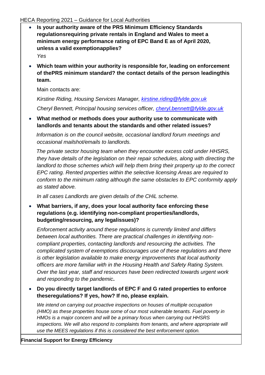- **Is your authority aware of the PRS Minimum Efficiency Standards regulationsrequiring private rentals in England and Wales to meet a minimum energy performance rating of EPC Band E as of April 2020, unless a valid exemptionapplies?** *Yes*
- **Which team within your authority is responsible for, leading on enforcement of thePRS minimum standard? the contact details of the person leadingthis team.**

Main contacts are:

*Kirstine Riding, Housing Services Manager, [kirstine.riding@fylde.gov.uk](mailto:kirstine.riding@fylde.gov.uk)*

*Cheryl Bennett, Principal housing services officer, [cheryl.bennett@fylde.gov.uk](mailto:cheryl.bennett@fylde.gov.uk)*

• **What method or methods does your authority use to communicate with landlords and tenants about the standards and other related issues?**

*Information is on the council website, occasional landlord forum meetings and occasional mailshot/emails to landlords.*

 *The private sector housing team when they encounter excess cold under HHSRS, they have details of the legislation on their repair schedules, along with directing the landlord to those schemes which will help them bring their property up to the correct EPC rating. Rented properties within the selective licensing Areas are required to conform to the minimum rating although the same obstacles to EPC conformity apply as stated above.*

*In all cases Landlords are given details of the CHiL scheme.*

• **What barriers, if any, does your local authority face enforcing these regulations (e.g. identifying non-compliant properties/landlords, budgeting/resourcing, any legalissues)?**

*Enforcement activity around these regulations is currently limited and differs between local authorities. There are practical challenges in identifying noncompliant properties, contacting landlords and resourcing the activities. The complicated system of exemptions discourages use of these regulations and there is other legislation available to make energy improvements that local authority officers are more familiar with in the Housing Health and Safety Rating System. Over the last year, staff and resources have been redirected towards urgent work and responding to the pandemic***.**

• **Do you directly target landlords of EPC F and G rated properties to enforce theseregulations? If yes, how? If no, please explain.**

*We intend on carrying out proactive inspections on houses of multiple occupation (HMO) as these properties house some of our most vulnerable tenants. Fuel poverty in HMOs is a major concern and will be a primary focus when carrying out HHSRS inspections. We will also respond to complaints from tenants, and where appropriate will use the MEES regulations if this is considered the best enforcement option.*

**Financial Support for Energy Efficiency**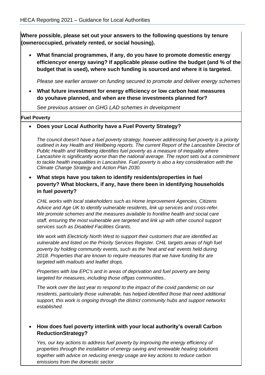**Where possible, please set out your answers to the following questions by tenure (owneroccupied, privately rented, or social housing).**

• **What financial programmes, if any, do you have to promote domestic energy efficiencyor energy saving? If applicable please outline the budget (and % of the budget that is used), where such funding is sourced and where it is targeted.**

*Please see earlier answer on funding secured to promote and deliver energy schemes*

• **What future investment for energy efficiency or low carbon heat measures do youhave planned, and when are these investments planned for?**

*See previous answer on GHG LAD schemes in development* 

#### **Fuel Poverty**

• **Does your Local Authority have a Fuel Poverty Strategy?**

*The council doesn't have a fuel poverty strategy, however addressing fuel poverty is a priority outlined in key Health and Wellbeing reports. The current Report of the Lancashire Director of Public Health and Wellbeing identifies fuel poverty as a measure of inequality where Lancashire is significantly worse than the national average. The report sets out a commitment to tackle health inequalities in Lancashire. Fuel poverty is also a key consideration with the Climate Change Strategy and Action Plan 2030.*

• **What steps have you taken to identify residents/properties in fuel poverty? What blockers, if any, have there been in identifying households in fuel poverty?**

*CHiL works with local stakeholders such as Home Improvement Agencies, Citizens Advice and Age UK to identify vulnerable residents, link up services and cross-refer. We promote schemes and the measures available to frontline health and social care staff, ensuring the most vulnerable are targeted and link up with other council support services such as Disabled Facilities Grants.* 

*We work with Electricity North West to support their customers that are identified as vulnerable and listed on the Priority Services Register. CHiL targets areas of high fuel poverty by holding community events, such as the 'heat and eat' events held during 2018. Properties that are known to require measures that we have funding for are targeted with mailouts and leaflet drops.* 

*Properties with low EPC's and in areas of deprivation and fuel poverty are being targeted for measures, including those offgas communities..* 

*The work over the last year to respond to the impact of the covid pandemic on our residents, particularly those vulnerable, has helped identified those that need additional support, this work is ongoing through the district community hubs and support networks established.* 

#### • **How does fuel poverty interlink with your local authority's overall Carbon ReductionStrategy?**

Yes, our key actions to address fuel poverty by improving the energy efficiency of *properties through the installation of energy saving and renewable heating solutions together with advice on reducing energy usage are key actions to reduce carbon emissions from the domestic sector*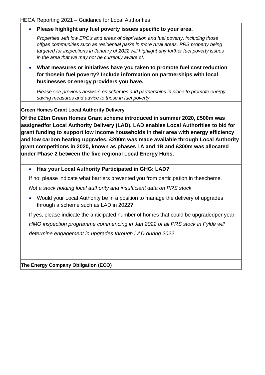• **Please highlight any fuel poverty issues specific to your area.**

*Properties with low EPC's and areas of deprivation and fuel poverty, including those offgas communities such as residential parks in more rural areas. PRS property being targeted for inspections in January of 2022 will highlight any further fuel poverty issues in the area that we may not be currently aware of.*

• **What measures or initiatives have you taken to promote fuel cost reduction for thosein fuel poverty? Include information on partnerships with local businesses or energy providers you have.**

*Please see previous answers on schemes and partnerships in place to promote energy saving measures and advice to those in fuel poverty.*

#### **Green Homes Grant Local Authority Delivery**

**Of the £2bn Green Homes Grant scheme introduced in summer 2020, £500m was assignedfor Local Authority Delivery (LAD). LAD enables Local Authorities to bid for grant funding to support low income households in their area with energy efficiency and low carbon heating upgrades. £200m was made available through Local Authority grant competitions in 2020, known as phases 1A and 1B and £300m was allocated under Phase 2 between the five regional Local Energy Hubs.**

#### • **Has your Local Authority Participated in GHG: LAD?**

If no, please indicate what barriers prevented you from participation in thescheme.

*Not a stock holding local authority and insufficient data on PRS stock*

• Would your Local Authority be in a position to manage the delivery of upgrades through a scheme such as LAD in 2022?

If yes, please indicate the anticipated number of homes that could be upgradedper year. *HMO inspection programme commencing in Jan 2022 of all PRS stock in Fylde will determine engagement in upgrades through LAD during 2022*

**The Energy Company Obligation (ECO)**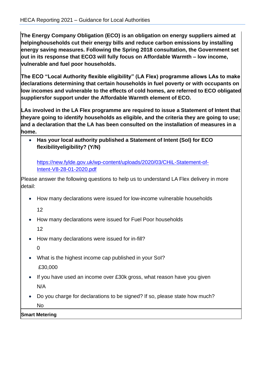**The Energy Company Obligation (ECO) is an obligation on energy suppliers aimed at helpinghouseholds cut their energy bills and reduce carbon emissions by installing energy saving measures. Following the Spring 2018 consultation, the Government set out in its response that ECO3 will fully focus on Affordable Warmth – low income, vulnerable and fuel poor households.**

**The ECO "Local Authority flexible eligibility" (LA Flex) programme allows LAs to make declarations determining that certain households in fuel poverty or with occupants on low incomes and vulnerable to the effects of cold homes, are referred to ECO obligated suppliersfor support under the Affordable Warmth element of ECO.**

**LAs involved in the LA Flex programme are required to issue a Statement of Intent that theyare going to identify households as eligible, and the criteria they are going to use; and a declaration that the LA has been consulted on the installation of measures in a home.**

• **Has your local authority published a Statement of Intent (SoI) for ECO flexibilityeligibility? (Y/N)**

[https://new.fylde.gov.uk/wp-content/uploads/2020/03/CHiL-Statement-of-](https://new.fylde.gov.uk/wp-content/uploads/2020/03/CHiL-Statement-of-Intent-V8-28-01-2020.pdf)[Intent-V8-28-01-2020.pdf](https://new.fylde.gov.uk/wp-content/uploads/2020/03/CHiL-Statement-of-Intent-V8-28-01-2020.pdf)

Please answer the following questions to help us to understand LA Flex delivery in more detail:

• How many declarations were issued for low-income vulnerable households

12

• How many declarations were issued for Fuel Poor households

12

• How many declarations were issued for in-fill?

0

- What is the highest income cap published in your SoI? £30,000
- If you have used an income over £30k gross, what reason have you given N/A
- Do you charge for declarations to be signed? If so, please state how much? No

**Smart Metering**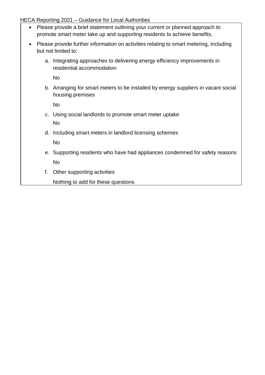- Please provide a brief statement outlining your current or planned approach to promote smart meter take up and supporting residents to achieve benefits.
- Please provide further information on activities relating to smart metering, including but not limited to:
	- a. Integrating approaches to delivering energy efficiency improvements in residential accommodation

No

b. Arranging for smart meters to be installed by energy suppliers in vacant social housing premises

No

- c. Using social landlords to promote smart meter uptake No
- d. Including smart meters in landlord licensing schemes

No

- e. Supporting residents who have had appliances condemned for safety reasons No
- f. Other supporting activities

Nothing to add for these questions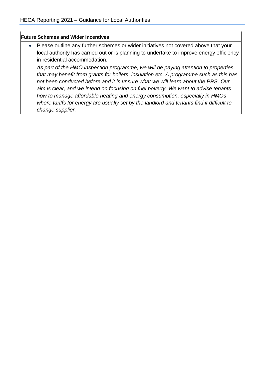#### **Future Schemes and Wider Incentives**

• Please outline any further schemes or wider initiatives not covered above that your local authority has carried out or is planning to undertake to improve energy efficiency in residential accommodation.

*As part of the HMO inspection programme, we will be paying attention to properties that may benefit from grants for boilers, insulation etc. A programme such as this has not been conducted before and it is unsure what we will learn about the PRS. Our aim is clear, and we intend on focusing on fuel poverty. We want to advise tenants how to manage affordable heating and energy consumption, especially in HMOs where tariffs for energy are usually set by the landlord and tenants find it difficult to change supplier.*